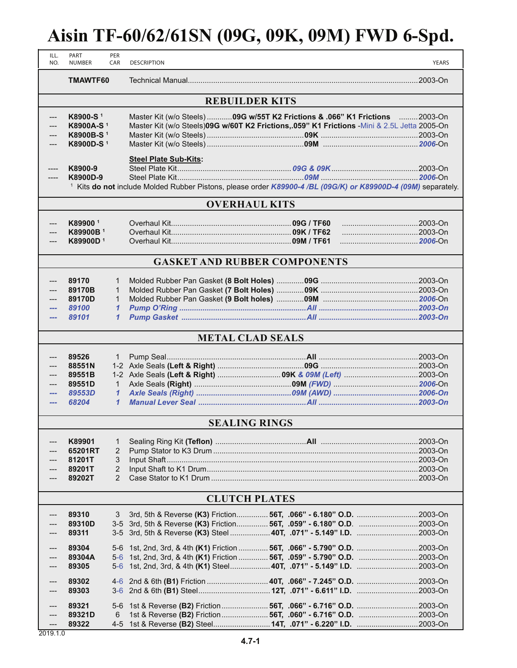| ILL.<br>NO.           | PART<br><b>NUMBER</b>                                                                                 | PER<br>CAR             | <b>DESCRIPTION</b>                  |                                                                                                                          | YEARS |  |  |
|-----------------------|-------------------------------------------------------------------------------------------------------|------------------------|-------------------------------------|--------------------------------------------------------------------------------------------------------------------------|-------|--|--|
|                       | TMAWTF60                                                                                              |                        |                                     |                                                                                                                          |       |  |  |
| <b>REBUILDER KITS</b> |                                                                                                       |                        |                                     |                                                                                                                          |       |  |  |
| ---                   | K8900-S <sup>1</sup><br>Master Kit (w/o Steels)  09G w/55T K2 Frictions & .066" K1 Frictions  2003-On |                        |                                     |                                                                                                                          |       |  |  |
| ---                   | K8900A-S <sup>1</sup>                                                                                 |                        |                                     | Master Kit (w/o Steels)09G w/60T K2 Frictions,.059" K1 Frictions - Mini & 2.5L Jetta 2005-On                             |       |  |  |
| ---                   | K8900B-S <sup>1</sup><br>K8900D-S <sup>1</sup>                                                        |                        |                                     |                                                                                                                          |       |  |  |
|                       |                                                                                                       |                        |                                     |                                                                                                                          |       |  |  |
|                       |                                                                                                       |                        | <b>Steel Plate Sub-Kits:</b>        |                                                                                                                          |       |  |  |
|                       | K8900-9                                                                                               |                        |                                     |                                                                                                                          |       |  |  |
|                       | K8900D-9                                                                                              |                        |                                     |                                                                                                                          |       |  |  |
|                       |                                                                                                       |                        |                                     | <sup>1</sup> Kits do not include Molded Rubber Pistons, please order K89900-4 /BL (09G/K) or K89900D-4 (09M) separately. |       |  |  |
|                       |                                                                                                       |                        | <b>OVERHAUL KITS</b>                |                                                                                                                          |       |  |  |
|                       | K89900 <sup>1</sup>                                                                                   |                        |                                     |                                                                                                                          |       |  |  |
|                       | K89900B <sup>1</sup>                                                                                  |                        |                                     |                                                                                                                          |       |  |  |
| ---                   | K89900D <sup>1</sup>                                                                                  |                        |                                     |                                                                                                                          |       |  |  |
|                       |                                                                                                       |                        |                                     |                                                                                                                          |       |  |  |
|                       |                                                                                                       |                        | <b>GASKET AND RUBBER COMPONENTS</b> |                                                                                                                          |       |  |  |
| ---                   | 89170                                                                                                 | 1                      |                                     |                                                                                                                          |       |  |  |
|                       | 89170B                                                                                                | $\mathbf{1}$           |                                     |                                                                                                                          |       |  |  |
|                       | 89170D                                                                                                | $\mathbf 1$            |                                     |                                                                                                                          |       |  |  |
| ---                   | 89100                                                                                                 | $\mathbf{1}$           |                                     |                                                                                                                          |       |  |  |
| ---                   | 89101                                                                                                 | $\mathbf{1}$           |                                     |                                                                                                                          |       |  |  |
|                       |                                                                                                       |                        |                                     |                                                                                                                          |       |  |  |
|                       |                                                                                                       |                        | <b>METAL CLAD SEALS</b>             |                                                                                                                          |       |  |  |
|                       | 89526                                                                                                 | 1                      |                                     |                                                                                                                          |       |  |  |
|                       | 88551N                                                                                                |                        |                                     |                                                                                                                          |       |  |  |
|                       | 89551B                                                                                                |                        |                                     |                                                                                                                          |       |  |  |
| ---                   | 89551D                                                                                                | 1                      |                                     |                                                                                                                          |       |  |  |
| ---                   | 89553D                                                                                                | $\mathbf{1}$           |                                     |                                                                                                                          |       |  |  |
|                       | 68204                                                                                                 | $\mathbf{\mathcal{L}}$ |                                     |                                                                                                                          |       |  |  |
| <b>SEALING RINGS</b>  |                                                                                                       |                        |                                     |                                                                                                                          |       |  |  |
|                       |                                                                                                       |                        |                                     |                                                                                                                          |       |  |  |
|                       | K89901                                                                                                | 1                      |                                     |                                                                                                                          |       |  |  |
|                       | 65201RT                                                                                               | 2                      |                                     |                                                                                                                          |       |  |  |
|                       | 81201T                                                                                                | 3                      |                                     |                                                                                                                          |       |  |  |
|                       | 89201T<br>89202T                                                                                      | 2<br>2                 |                                     |                                                                                                                          |       |  |  |
|                       |                                                                                                       |                        |                                     |                                                                                                                          |       |  |  |
| <b>CLUTCH PLATES</b>  |                                                                                                       |                        |                                     |                                                                                                                          |       |  |  |
|                       | 89310                                                                                                 | 3                      |                                     |                                                                                                                          |       |  |  |
|                       | 89310D                                                                                                |                        |                                     | 3-5 3rd, 5th & Reverse (K3) Friction 56T, .059" - 6.180" O.D. 2003-On                                                    |       |  |  |
|                       | 89311                                                                                                 | $3-5$                  |                                     |                                                                                                                          |       |  |  |
|                       |                                                                                                       |                        |                                     |                                                                                                                          |       |  |  |
|                       | 89304                                                                                                 | $5-6$                  |                                     | 1st, 2nd, 3rd, & 4th (K1) Friction  56T, .066" - 5.790" O.D. 2003-On                                                     |       |  |  |
|                       | 89304A<br>89305                                                                                       | $5-6$<br>$5-6$         |                                     | 1st, 2nd, 3rd, & 4th (K1) Friction  56T, .059" - 5.790" O.D. 2003-On                                                     |       |  |  |
|                       |                                                                                                       |                        |                                     |                                                                                                                          |       |  |  |
| ---                   | 89302                                                                                                 |                        |                                     |                                                                                                                          |       |  |  |
| ---                   | 89303                                                                                                 | $3-6$                  |                                     |                                                                                                                          |       |  |  |
|                       |                                                                                                       |                        |                                     |                                                                                                                          |       |  |  |
|                       | 89321                                                                                                 | $5-6$                  |                                     |                                                                                                                          |       |  |  |
|                       | 89321D                                                                                                | 6                      |                                     | 1st & Reverse (B2) Friction 56T, .060" - 6.716" O.D. 2003-On                                                             |       |  |  |
|                       | 89322                                                                                                 | $4 - 5$                |                                     | 1st & Reverse (B2) Steel14T, .071" - 6.220" I.D. 2003-On                                                                 |       |  |  |
| 2019.1.0              |                                                                                                       |                        |                                     |                                                                                                                          |       |  |  |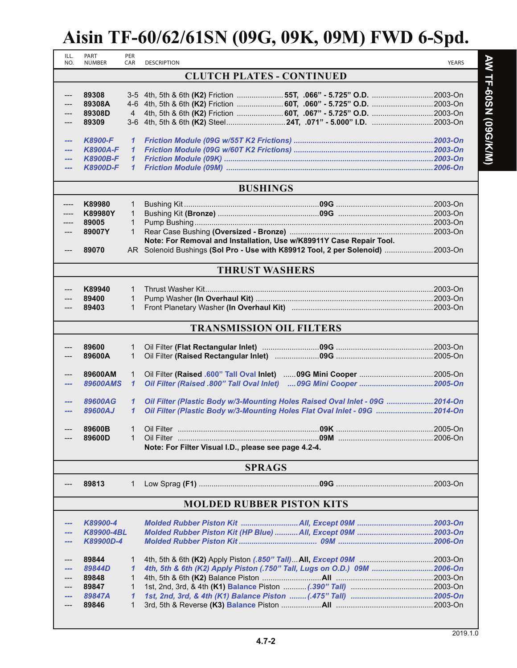| ILL.<br>NO.                      | PART<br><b>NUMBER</b>            | PER<br>CAR   | <b>DESCRIPTION</b>                                                             | <b>YEARS</b> |  |  |
|----------------------------------|----------------------------------|--------------|--------------------------------------------------------------------------------|--------------|--|--|
|                                  | <b>CLUTCH PLATES - CONTINUED</b> |              |                                                                                |              |  |  |
| ---                              | 89308                            |              |                                                                                |              |  |  |
| ---                              | 89308A                           |              |                                                                                |              |  |  |
|                                  | 89308D                           | 4            |                                                                                |              |  |  |
| ---                              | 89309                            |              |                                                                                |              |  |  |
|                                  |                                  |              |                                                                                |              |  |  |
| $\frac{1}{2}$                    | <b>K8900-F</b>                   | $\mathbf{1}$ |                                                                                |              |  |  |
| ---                              | <b>K8900A-F</b>                  | $\mathbf{1}$ |                                                                                |              |  |  |
| ---                              | <b>K8900B-F</b>                  | $\mathbf{1}$ |                                                                                |              |  |  |
| ---                              | <b>K8900D-F</b>                  | $\mathbf{1}$ |                                                                                |              |  |  |
|                                  |                                  |              |                                                                                |              |  |  |
|                                  |                                  |              | <b>BUSHINGS</b>                                                                |              |  |  |
| ----                             | K89980                           | 1            |                                                                                |              |  |  |
|                                  | <b>K89980Y</b>                   | $\mathbf{1}$ |                                                                                |              |  |  |
|                                  | 89005                            | $\mathbf{1}$ |                                                                                |              |  |  |
| $\qquad \qquad \textbf{---}$     | 89007Y                           | $\mathbf{1}$ |                                                                                |              |  |  |
|                                  |                                  |              | Note: For Removal and Installation, Use w/K89911Y Case Repair Tool.            |              |  |  |
| ---                              | 89070                            |              | AR Solenoid Bushings (Sol Pro - Use with K89912 Tool, 2 per Solenoid)  2003-On |              |  |  |
|                                  |                                  |              |                                                                                |              |  |  |
|                                  |                                  |              | <b>THRUST WASHERS</b>                                                          |              |  |  |
|                                  | K89940                           | $\mathbf 1$  |                                                                                |              |  |  |
|                                  | 89400                            | $\mathbf{1}$ |                                                                                |              |  |  |
| ---                              | 89403                            | $\mathbf{1}$ |                                                                                |              |  |  |
|                                  |                                  |              |                                                                                |              |  |  |
|                                  |                                  |              | <b>TRANSMISSION OIL FILTERS</b>                                                |              |  |  |
| ---                              | 89600                            | 1            |                                                                                |              |  |  |
|                                  | 89600A                           | $\mathbf{1}$ | Oil Filter (Raised Rectangular Inlet) material 09G material material 2005-On   |              |  |  |
|                                  |                                  |              |                                                                                |              |  |  |
|                                  | 89600AM                          | 1            |                                                                                |              |  |  |
| ---                              | <b>89600AMS</b>                  | $\mathbf{1}$ |                                                                                |              |  |  |
|                                  |                                  |              |                                                                                |              |  |  |
|                                  | 89600AG                          | $\mathbf{1}$ | Oil Filter (Plastic Body w/3-Mounting Holes Raised Oval Inlet - 09G  2014-On   |              |  |  |
| ---                              | 89600AJ                          | $\mathbf{1}$ | Oil Filter (Plastic Body w/3-Mounting Holes Flat Oval Inlet - 09G  2014-On     |              |  |  |
|                                  |                                  |              |                                                                                |              |  |  |
|                                  | 89600B                           |              | 1 Oil Filter.                                                                  |              |  |  |
|                                  | 89600D                           | $\mathbf 1$  |                                                                                |              |  |  |
|                                  |                                  |              | Note: For Filter Visual I.D., please see page 4.2-4.                           |              |  |  |
|                                  |                                  |              |                                                                                |              |  |  |
| <b>SPRAGS</b>                    |                                  |              |                                                                                |              |  |  |
|                                  | 89813                            | 1            |                                                                                |              |  |  |
|                                  |                                  |              |                                                                                |              |  |  |
| <b>MOLDED RUBBER PISTON KITS</b> |                                  |              |                                                                                |              |  |  |
|                                  | K89900-4                         |              |                                                                                |              |  |  |
|                                  | K89900-4BL                       |              |                                                                                |              |  |  |
|                                  | K89900D-4                        |              |                                                                                |              |  |  |
|                                  |                                  |              |                                                                                |              |  |  |
|                                  | 89844                            | 1            |                                                                                |              |  |  |
|                                  | 89844D                           | 1            | 4th, 5th & 6th (K2) Apply Piston (.750" Tall, Lugs on O.D.) 09M 2006-On        |              |  |  |
|                                  | 89848                            | $\mathbf{1}$ |                                                                                |              |  |  |
|                                  | 89847                            | 1            |                                                                                |              |  |  |
|                                  | 89847A                           | $\mathbf{1}$ |                                                                                |              |  |  |
|                                  | 89846                            | 1            |                                                                                |              |  |  |
|                                  |                                  |              |                                                                                |              |  |  |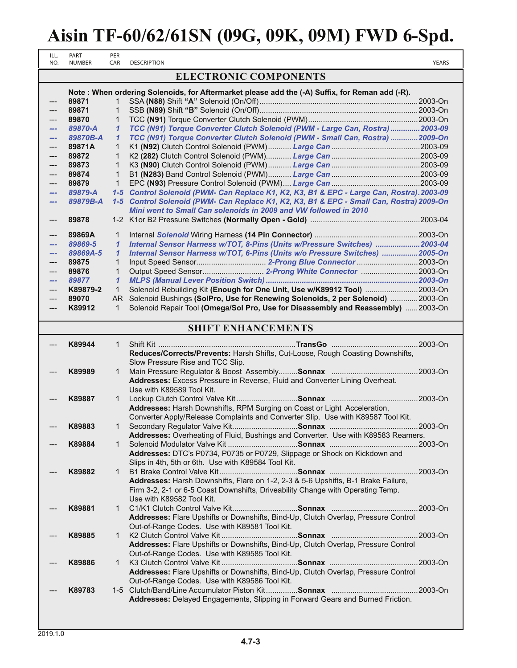| ILL.<br>NO.   | PART<br><b>NUMBER</b> | PER<br>CAR            | <b>DESCRIPTION</b>                                                                                                                                           | YEARS    |
|---------------|-----------------------|-----------------------|--------------------------------------------------------------------------------------------------------------------------------------------------------------|----------|
|               |                       |                       | <b>ELECTRONIC COMPONENTS</b>                                                                                                                                 |          |
|               |                       |                       | Note: When ordering Solenoids, for Aftermarket please add the (-A) Suffix, for Reman add (-R).                                                               |          |
| $---$         | 89871                 | 1                     |                                                                                                                                                              |          |
|               | 89871                 | 1                     |                                                                                                                                                              |          |
| $---$         | 89870                 | 1                     |                                                                                                                                                              |          |
| $\frac{1}{2}$ | 89870-A               | $\mathbf{1}$          | TCC (N91) Torque Converter Clutch Solenoid (PWM - Large Can, Rostra) 2003-09                                                                                 |          |
| ---           | 89870B-A              | $\mathbf{\mathbf{1}}$ | TCC (N91) Torque Converter Clutch Solenoid (PWM - Small Can, Rostra)  2009-On                                                                                |          |
| $---$         | 89871A                | 1                     |                                                                                                                                                              |          |
|               | 89872                 | 1                     |                                                                                                                                                              |          |
| $---$         | 89873                 | 1                     |                                                                                                                                                              |          |
| $---$         | 89874                 | 1                     |                                                                                                                                                              |          |
| $---$         | 89879                 | $\mathbf{1}$          |                                                                                                                                                              |          |
| ---           | 89879-A               |                       | 1-5 Control Solenoid (PWM- Can Replace K1, K2, K3, B1 & EPC - Large Can, Rostra).2003-09                                                                     |          |
| ---           | 89879B-A              |                       | 1-5 Control Solenoid (PWM- Can Replace K1, K2, K3, B1 & EPC - Small Can, Rostra) 2009-On<br>Mini went to Small Can solenoids in 2009 and VW followed in 2010 |          |
| $---$         | 89878                 |                       |                                                                                                                                                              |          |
|               |                       |                       |                                                                                                                                                              |          |
| $---$         | 89869A                | 1                     |                                                                                                                                                              |          |
| ---           | 89869-5               | 1                     | Internal Sensor Harness w/TOT, 8-Pins (Units w/Pressure Switches) 2003-04                                                                                    |          |
| ---           | 89869A-5              | 1                     | Internal Sensor Harness w/TOT, 6-Pins (Units w/o Pressure Switches)  2005-On                                                                                 |          |
| $---$         | 89875                 | 1                     |                                                                                                                                                              |          |
| $---$         | 89876                 | 1                     | Output Speed Sensor 2-Prong White Connector 2003-On                                                                                                          |          |
| $\cdots$      | 89877                 | $\mathbf{1}$          |                                                                                                                                                              |          |
| $---$         | K89879-2              | 1                     | Solenold Rebuilding Kit (Enough for One Unit, Use w/K89912 Tool) 2003-On                                                                                     |          |
| $---$         | 89070                 |                       | AR Solenoid Bushings (SolPro, Use for Renewing Solenoids, 2 per Solenoid)  2003-On                                                                           |          |
|               | K89912                | 1                     | Solenoid Repair Tool (Omega/Sol Pro, Use for Disassembly and Reassembly) 2003-On                                                                             |          |
|               |                       |                       | <b>SHIFT ENHANCEMENTS</b>                                                                                                                                    |          |
|               | K89944                | $\mathbf 1$           |                                                                                                                                                              |          |
| $---$         |                       |                       | Reduces/Corrects/Prevents: Harsh Shifts, Cut-Loose, Rough Coasting Downshifts,                                                                               |          |
|               |                       |                       | Slow Pressure Rise and TCC Slip.                                                                                                                             |          |
|               | K89989                | 1                     |                                                                                                                                                              |          |
|               |                       |                       | Addresses: Excess Pressure in Reverse, Fluid and Converter Lining Overheat.                                                                                  |          |
|               |                       |                       | Use with K89589 Tool Kit.                                                                                                                                    |          |
|               | K89887                | 1                     |                                                                                                                                                              |          |
|               |                       |                       | Addresses: Harsh Downshifts, RPM Surging on Coast or Light Acceleration,                                                                                     |          |
|               |                       |                       | Converter Apply/Release Complaints and Converter Slip. Use with K89587 Tool Kit.                                                                             |          |
|               | K89883                | 1.                    | Secondary Regulator Valve KitSonnax                                                                                                                          | .2003-On |
|               |                       |                       | Addresses: Overheating of Fluid, Bushings and Converter. Use with K89583 Reamers.                                                                            |          |
|               | K89884                | 1                     |                                                                                                                                                              |          |
|               |                       |                       | Addresses: DTC's P0734, P0735 or P0729, Slippage or Shock on Kickdown and                                                                                    |          |
|               |                       |                       | Slips in 4th, 5th or 6th. Use with K89584 Tool Kit.                                                                                                          |          |
|               | K89882                | 1                     |                                                                                                                                                              |          |
|               |                       |                       | Addresses: Harsh Downshifts, Flare on 1-2, 2-3 & 5-6 Upshifts, B-1 Brake Failure,                                                                            |          |
|               |                       |                       | Firm 3-2, 2-1 or 6-5 Coast Downshifts, Driveability Change with Operating Temp.                                                                              |          |
|               |                       |                       | Use with K89582 Tool Kit.                                                                                                                                    |          |
|               | K89881                | 1                     |                                                                                                                                                              |          |
|               |                       |                       | Addresses: Flare Upshifts or Downshifts, Bind-Up, Clutch Overlap, Pressure Control                                                                           |          |
|               |                       |                       | Out-of-Range Codes. Use with K89581 Tool Kit.                                                                                                                |          |
|               | K89885                | 1                     |                                                                                                                                                              |          |
|               |                       |                       | Addresses: Flare Upshifts or Downshifts, Bind-Up, Clutch Overlap, Pressure Control<br>Out-of-Range Codes. Use with K89585 Tool Kit.                          |          |
|               | K89886                | $\mathbf{1}$          |                                                                                                                                                              |          |
|               |                       |                       | Addresses: Flare Upshifts or Downshifts, Bind-Up, Clutch Overlap, Pressure Control                                                                           |          |
|               |                       |                       | Out-of-Range Codes. Use with K89586 Tool Kit.                                                                                                                |          |
|               | K89783                |                       |                                                                                                                                                              |          |
|               |                       |                       | Addresses: Delayed Engagements, Slipping in Forward Gears and Burned Friction.                                                                               |          |
|               |                       |                       |                                                                                                                                                              |          |